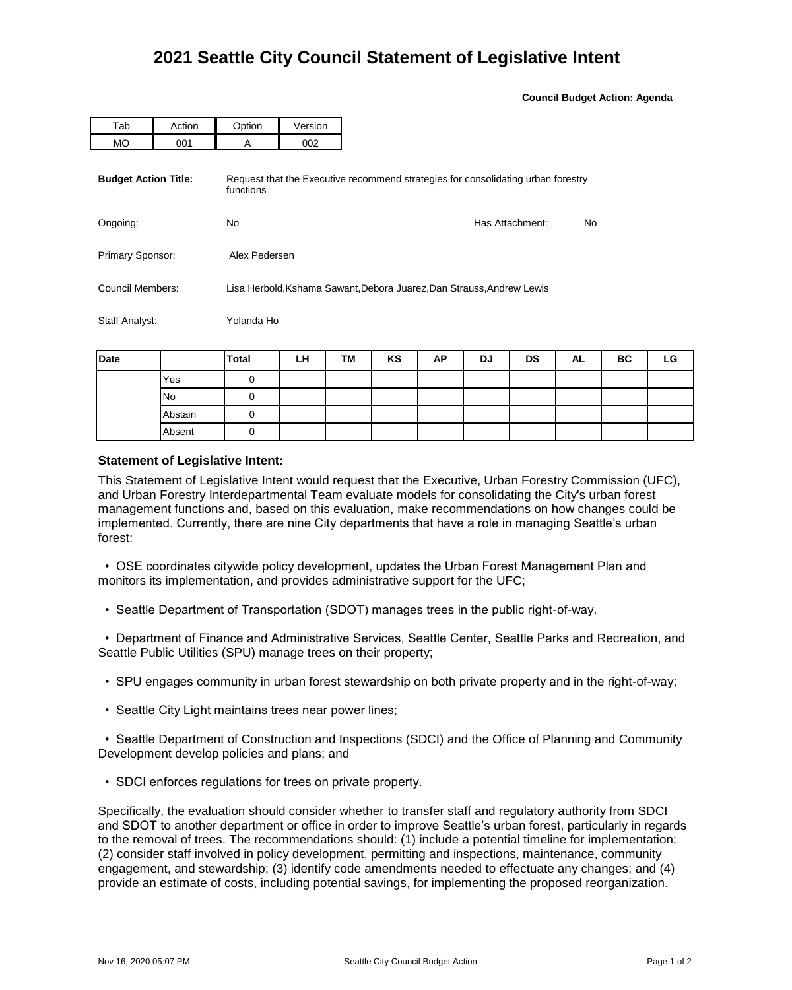**Council Budget Action: Agenda**

| Tab                         | Action | Option                                                                                        | Version |                 |     |  |  |  |  |
|-----------------------------|--------|-----------------------------------------------------------------------------------------------|---------|-----------------|-----|--|--|--|--|
| <b>MO</b>                   | 001    | A                                                                                             | 002     |                 |     |  |  |  |  |
| <b>Budget Action Title:</b> |        | Request that the Executive recommend strategies for consolidating urban forestry<br>functions |         |                 |     |  |  |  |  |
| Ongoing:                    |        | No.                                                                                           |         | Has Attachment: | No. |  |  |  |  |
| Primary Sponsor:            |        | Alex Pedersen                                                                                 |         |                 |     |  |  |  |  |
| Council Members:            |        | Lisa Herbold, Kshama Sawant, Debora Juarez, Dan Strauss, Andrew Lewis                         |         |                 |     |  |  |  |  |
| Staff Analyst:              |        | Yolanda Ho                                                                                    |         |                 |     |  |  |  |  |

| Date |           | <b>Total</b> | LH | TM | KS | <b>AP</b> | DJ | DS | <b>AL</b> | BC | LG |
|------|-----------|--------------|----|----|----|-----------|----|----|-----------|----|----|
|      | Yes       |              |    |    |    |           |    |    |           |    |    |
|      | <b>No</b> |              |    |    |    |           |    |    |           |    |    |
|      | Abstain   |              |    |    |    |           |    |    |           |    |    |
|      | Absent    |              |    |    |    |           |    |    |           |    |    |

## **Statement of Legislative Intent:**

This Statement of Legislative Intent would request that the Executive, Urban Forestry Commission (UFC), and Urban Forestry Interdepartmental Team evaluate models for consolidating the City's urban forest management functions and, based on this evaluation, make recommendations on how changes could be implemented. Currently, there are nine City departments that have a role in managing Seattle's urban forest:

 • OSE coordinates citywide policy development, updates the Urban Forest Management Plan and monitors its implementation, and provides administrative support for the UFC;

• Seattle Department of Transportation (SDOT) manages trees in the public right-of-way.

 • Department of Finance and Administrative Services, Seattle Center, Seattle Parks and Recreation, and Seattle Public Utilities (SPU) manage trees on their property;

- SPU engages community in urban forest stewardship on both private property and in the right-of-way;
- Seattle City Light maintains trees near power lines;

 • Seattle Department of Construction and Inspections (SDCI) and the Office of Planning and Community Development develop policies and plans; and

• SDCI enforces regulations for trees on private property.

Specifically, the evaluation should consider whether to transfer staff and regulatory authority from SDCI and SDOT to another department or office in order to improve Seattle's urban forest, particularly in regards to the removal of trees. The recommendations should: (1) include a potential timeline for implementation; (2) consider staff involved in policy development, permitting and inspections, maintenance, community engagement, and stewardship; (3) identify code amendments needed to effectuate any changes; and (4) provide an estimate of costs, including potential savings, for implementing the proposed reorganization.